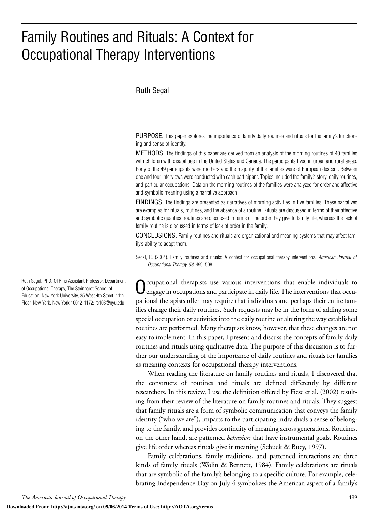# Family Routines and Rituals: A Context for Occupational Therapy Interventions

#### Ruth Segal

PURPOSE. This paper explores the importance of family daily routines and rituals for the family's functioning and sense of identity.

METHODS. The findings of this paper are derived from an analysis of the morning routines of 40 families with children with disabilities in the United States and Canada. The participants lived in urban and rural areas. Forty of the 49 participants were mothers and the majority of the families were of European descent. Between one and four interviews were conducted with each participant. Topics included the family's story, daily routines, and particular occupations. Data on the morning routines of the families were analyzed for order and affective and symbolic meaning using a narrative approach.

FINDINGS*.* The findings are presented as narratives of morning activities in five families. These narratives are examples for rituals, routines, and the absence of a routine. Rituals are discussed in terms of their affective and symbolic qualities, routines are discussed in terms of the order they give to family life, whereas the lack of family routine is discussed in terms of lack of order in the family.

CONCLUSIONS. Family routines and rituals are organizational and meaning systems that may affect family's ability to adapt them.

Segal, R. (2004). Family routines and rituals: A context for occupational therapy interventions. *American Journal of Occupational Therapy, 58,* 499–508.

Occupational therapists use various interventions that enable individuals to engage in occupations and participate in daily life. The interventions that occupational therapists offer may require that individuals and perhaps their entire families change their daily routines. Such requests may be in the form of adding some special occupation or activities into the daily routine or altering the way established routines are performed. Many therapists know, however, that these changes are not easy to implement. In this paper, I present and discuss the concepts of family daily routines and rituals using qualitative data. The purpose of this discussion is to further our understanding of the importance of daily routines and rituals for families as meaning contexts for occupational therapy interventions.

When reading the literature on family routines and rituals, I discovered that the constructs of routines and rituals are defined differently by different researchers. In this review, I use the definition offered by Fiese et al. (2002) resulting from their review of the literature on family routines and rituals. They suggest that family rituals are a form of symbolic communication that conveys the family identity ("who we are"), imparts to the participating individuals a sense of belonging to the family, and provides continuity of meaning across generations. Routines, on the other hand, are patterned *behaviors* that have instrumental goals. Routines give life order whereas rituals give it meaning (Schuck & Bucy, 1997).

Family celebrations, family traditions, and patterned interactions are three kinds of family rituals (Wolin & Bennett, 1984). Family celebrations are rituals that are symbolic of the family's belonging to a specific culture. For example, celebrating Independence Day on July 4 symbolizes the American aspect of a family's

Ruth Segal, PhD, OTR, is Assistant Professor, Department of Occupational Therapy, The Steinhardt School of Education, New York University, 35 West 4th Street, 11th Floor, New York, New York 10012-1172; rs108@nyu.edu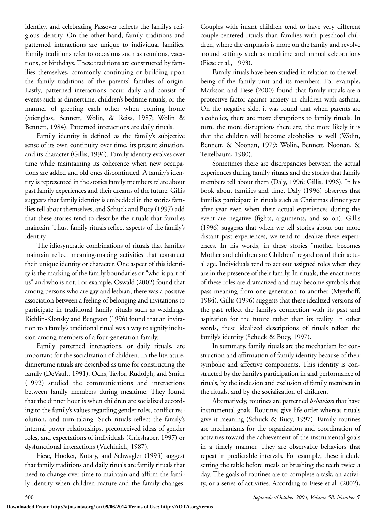identity, and celebrating Passover reflects the family's religious identity. On the other hand, family traditions and patterned interactions are unique to individual families. Family traditions refer to occasions such as reunions, vacations, or birthdays. These traditions are constructed by families themselves, commonly continuing or building upon the family traditions of the parents' families of origin. Lastly, patterned interactions occur daily and consist of events such as dinnertime, children's bedtime rituals, or the manner of greeting each other when coming home (Stienglass, Bennett, Wolin, & Reiss, 1987; Wolin & Bennett, 1984). Patterned interactions are daily rituals.

Family identity is defined as the family's subjective sense of its own continuity over time, its present situation, and its character (Gillis, 1996). Family identity evolves over time while maintaining its coherence when new occupations are added and old ones discontinued. A family's identity is represented in the stories family members relate about past family experiences and their dreams of the future. Gillis suggests that family identity is embedded in the stories families tell about themselves, and Schuck and Bucy (1997) add that these stories tend to describe the rituals that families maintain. Thus, family rituals reflect aspects of the family's identity.

The idiosyncratic combinations of rituals that families maintain reflect meaning-making activities that construct their unique identity or character. One aspect of this identity is the marking of the family boundaries or "who is part of us" and who is not. For example, Oswald (2002) found that among persons who are gay and lesbian, there was a positive association between a feeling of belonging and invitations to participate in traditional family rituals such as weddings. Richlin-Klonsky and Bengtson (1996) found that an invitation to a family's traditional ritual was a way to signify inclusion among members of a four-generation family.

Family patterned interactions, or daily rituals, are important for the socialization of children. In the literature, dinnertime rituals are described as time for constructing the family (DeVault, 1991). Ochs, Taylor, Rudolph, and Smith (1992) studied the communications and interactions between family members during mealtime. They found that the dinner hour is when children are socialized according to the family's values regarding gender roles, conflict resolution, and turn-taking. Such rituals reflect the family's internal power relationships, preconceived ideas of gender roles, and expectations of individuals (Grieshaber, 1997) or dysfunctional interactions (Vuchinich, 1987).

Fiese, Hooker, Kotary, and Schwagler (1993) suggest that family traditions and daily rituals are family rituals that need to change over time to maintain and affirm the family identity when children mature and the family changes.

Couples with infant children tend to have very different couple-centered rituals than families with preschool children, where the emphasis is more on the family and revolve around settings such as mealtime and annual celebrations (Fiese et al., 1993).

Family rituals have been studied in relation to the wellbeing of the family unit and its members. For example, Markson and Fiese (2000) found that family rituals are a protective factor against anxiety in children with asthma. On the negative side, it was found that when parents are alcoholics, there are more disruptions to family rituals. In turn, the more disruptions there are, the more likely it is that the children will become alcoholics as well (Wolin, Bennett, & Noonan, 1979; Wolin, Bennett, Noonan, & Teitelbaum, 1980).

Sometimes there are discrepancies between the actual experiences during family rituals and the stories that family members tell about them (Daly, 1996; Gillis, 1996). In his book about families and time, Daly (1996) observes that families participate in rituals such as Christmas dinner year after year even when their actual experiences during the event are negative (fights, arguments, and so on). Gillis (1996) suggests that when we tell stories about our more distant past experiences, we tend to idealize these experiences. In his words, in these stories "mother becomes Mother and children are Children" regardless of their actual age. Individuals tend to act out assigned roles when they are in the presence of their family. In rituals, the enactments of these roles are dramatized and may become symbols that pass meaning from one generation to another (Myerhoff, 1984). Gillis (1996) suggests that these idealized versions of the past reflect the family's connection with its past and aspiration for the future rather than its reality. In other words, these idealized descriptions of rituals reflect the family's identity (Schuck & Bucy, 1997).

In summary, family rituals are the mechanism for construction and affirmation of family identity because of their symbolic and affective components. This identity is constructed by the family's participation in and performance of rituals, by the inclusion and exclusion of family members in the rituals, and by the socialization of children.

Alternatively, routines are patterned *behaviors* that have instrumental goals. Routines give life order whereas rituals give it meaning (Schuck & Bucy, 1997). Family routines are mechanisms for the organization and coordination of activities toward the achievement of the instrumental goals in a timely manner. They are observable behaviors that repeat in predictable intervals. For example, these include setting the table before meals or brushing the teeth twice a day. The goals of routines are to complete a task, an activity, or a series of activities. According to Fiese et al. (2002),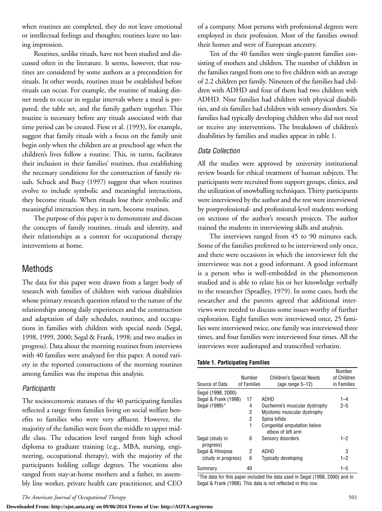when routines are completed, they do not leave emotional or intellectual feelings and thoughts; routines leave no lasting impression.

Routines, unlike rituals, have not been studied and discussed often in the literature. It seems, however, that routines are considered by some authors as a precondition for rituals. In other words, routines must be established before rituals can occur. For example, the routine of making dinner needs to occur in regular intervals where a meal is prepared, the table set, and the family gathers together. This routine is necessary before any rituals associated with that time period can be created. Fiese et al. (1993), for example, suggest that family rituals with a focus on the family unit begin only when the children are at preschool age when the children's lives follow a routine. This, in turns, facilitates their inclusion in their families' routines, thus establishing the necessary conditions for the construction of family rituals. Schuck and Bucy (1997) suggest that when routines evolve to include symbolic and meaningful interactions, they become rituals. When rituals lose their symbolic and meaningful interaction they, in turn, become routines.

The purpose of this paper is to demonstrate and discuss the concepts of family routines, rituals and identity, and their relationships as a context for occupational therapy interventions at home.

## Methods

The data for this paper were drawn from a larger body of research with families of children with various disabilities whose primary research question related to the nature of the relationships among daily experiences and the construction and adaptation of daily schedules, routines, and occupations in families with children with special needs (Segal, 1998, 1999, 2000; Segal & Frank, 1998; and two studies in progress). Data about the morning routines from interviews with 40 families were analyzed for this paper. A noted variety in the reported constructions of the morning routines among families was the impetus this analysis.

#### *Participants*

The socioeconomic statuses of the 40 participating families reflected a range from families living on social welfare benefits to families who were very affluent. However, the majority of the families were from the middle to upper middle class. The education level ranged from high school diploma to graduate training (e.g., MBA, nursing, engineering, occupational therapy), with the majority of the participants holding college degrees. The vocations also ranged from stay-at-home mothers and a father, to assembly line worker, private health care practitioner, and CEO

**Downloaded From: http://ajot.aota.org/ on 09/06/2014 Terms of Use: http://AOTA.org/terms**

of a company. Most persons with professional degrees were employed in their profession. Most of the families owned their homes and were of European ancestry.

Ten of the 40 families were single-parent families consisting of mothers and children. The number of children in the families ranged from one to five children with an average of 2.2 children per family. Nineteen of the families had children with ADHD and four of them had two children with ADHD. Nine families had children with physical disabilities, and six families had children with sensory disorders. Six families had typically developing children who did not need or receive any interventions. The breakdown of children's disabilities by families and studies appear in table 1.

### *Data Collection*

All the studies were approved by university institutional review boards for ethical treatment of human subjects. The participants were recruited from support groups, clinics, and the utilization of snowballing techniques. Thirty participants were interviewed by the author and the rest were interviewed by postprofessional- and professional-level students working on sections of the author's research projects. The author trained the students in interviewing skills and analysis.

The interviews ranged from 45 to 90 minutes each. Some of the families preferred to be interviewed only once, and there were occasions in which the interviewer felt the interviewee was not a good informant. A good informant is a person who is well-embedded in the phenomenon studied and is able to relate his or her knowledge verbally to the researcher (Spradley, 1979). In some cases, both the researcher and the parents agreed that additional interviews were needed to discuss some issues worthy of further exploration. Eight families were interviewed once, 25 families were interviewed twice, one family was interviewed three times, and four families were interviewed four times. All the interviews were audiotaped and transcribed verbatim.

#### **Table 1. Participating Families**

| Source of Data               | Number<br>of Families | <b>Children's Special Needs</b><br>(age range $5-12$ ) | Number<br>of Children<br>in Families |
|------------------------------|-----------------------|--------------------------------------------------------|--------------------------------------|
| Segal (1998, 2000)           |                       |                                                        |                                      |
| Segal & Frank (1998)         | 17                    | ADHD                                                   | $1 - 4$                              |
| Segal (1999)*                | 4                     | Duchenne's muscular dystrophy                          | $2 - 5$                              |
|                              | 2                     | Myotonic muscular dystrophy                            |                                      |
|                              | 2                     | Spina bifida                                           |                                      |
|                              | 1                     | Congenital amputation below<br>elbow of left arm       |                                      |
| Segal (study in<br>progress) | 6                     | Sensory disorders                                      | $1 - 2$                              |
| Segal & Hinojosa             | 2                     | ADHD                                                   | 3                                    |
| (study in progress)          | 6                     | Typically developing                                   | $1 - 2$                              |
| Summary                      | 40                    |                                                        | $1 - 5$                              |

\*The data for this paper included the data used in Segal (1998, 2000) and in Segal & Frank (1998). This data is not reflected in this row.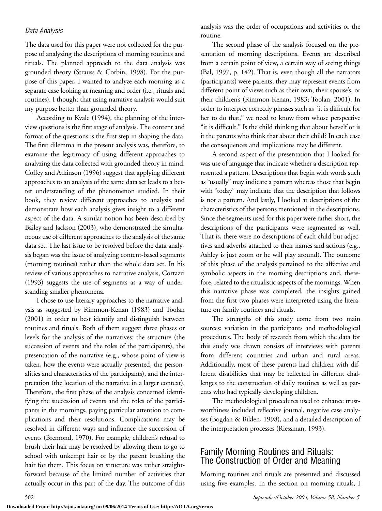#### *Data Analysis*

The data used for this paper were not collected for the purpose of analyzing the descriptions of morning routines and rituals. The planned approach to the data analysis was grounded theory (Strauss & Corbin, 1998). For the purpose of this paper, I wanted to analyze each morning as a separate case looking at meaning and order (i.e., rituals and routines). I thought that using narrative analysis would suit my purpose better than grounded theory.

According to Kvale (1994), the planning of the interview questions is the first stage of analysis. The content and format of the questions is the first step in shaping the data. The first dilemma in the present analysis was, therefore, to examine the legitimacy of using different approaches to analyzing the data collected with grounded theory in mind. Coffey and Atkinson (1996) suggest that applying different approaches to an analysis of the same data set leads to a better understanding of the phenomenon studied. In their book, they review different approaches to analysis and demonstrate how each analysis gives insight to a different aspect of the data. A similar notion has been described by Bailey and Jackson (2003), who demonstrated the simultaneous use of different approaches to the analysis of the same data set. The last issue to be resolved before the data analysis began was the issue of analyzing content-based segments (morning routines) rather than the whole data set. In his review of various approaches to narrative analysis, Cortazzi (1993) suggests the use of segments as a way of understanding smaller phenomena.

I chose to use literary approaches to the narrative analysis as suggested by Rimmon-Kenan (1983) and Toolan (2001) in order to best identify and distinguish between routines and rituals. Both of them suggest three phases or levels for the analysis of the narratives: the structure (the succession of events and the roles of the participants), the presentation of the narrative (e.g., whose point of view is taken, how the events were actually presented, the personalities and characteristics of the participants), and the interpretation (the location of the narrative in a larger context). Therefore, the first phase of the analysis concerned identifying the succession of events and the roles of the participants in the mornings, paying particular attention to complications and their resolutions. Complications may be resolved in different ways and influence the succession of events (Bremond, 1970). For example, children's refusal to brush their hair may be resolved by allowing them to go to school with unkempt hair or by the parent brushing the hair for them. This focus on structure was rather straightforward because of the limited number of activities that actually occur in this part of the day. The outcome of this

analysis was the order of occupations and activities or the routine.

The second phase of the analysis focused on the presentation of morning descriptions. Events are described from a certain point of view, a certain way of seeing things (Bal, 1997, p. 142). That is, even though all the narrators (participants) were parents, they may represent events from different point of views such as their own, their spouse's, or their children's (Rimmon-Kenan, 1983; Toolan, 2001). In order to interpret correctly phrases such as "it is difficult for her to do that," we need to know from whose perspective "it is difficult." Is the child thinking that about herself or is it the parents who think that about their child? In each case the consequences and implications may be different.

A second aspect of the presentation that I looked for was use of language that indicate whether a description represented a pattern. Descriptions that begin with words such as "usually" may indicate a pattern whereas those that begin with "today" may indicate that the description that follows is not a pattern. And lastly, I looked at descriptions of the characteristics of the persons mentioned in the descriptions. Since the segments used for this paper were rather short, the descriptions of the participants were segmented as well. That is, there were no descriptions of each child but adjectives and adverbs attached to their names and actions (e.g., Ashley is just zoom or he will play around). The outcome of this phase of the analysis pertained to the affective and symbolic aspects in the morning descriptions and, therefore, related to the ritualistic aspects of the mornings. When this narrative phase was completed, the insights gained from the first two phases were interpreted using the literature on family routines and rituals.

The strengths of this study come from two main sources: variation in the participants and methodological procedures. The body of research from which the data for this study was drawn consists of interviews with parents from different countries and urban and rural areas. Additionally, most of these parents had children with different disabilities that may be reflected in different challenges to the construction of daily routines as well as parents who had typically developing children.

The methodological procedures used to enhance trustworthiness included reflective journal, negative case analyses (Bogdan & Biklen, 1998), and a detailed description of the interpretation processes (Riessman, 1993).

## Family Morning Routines and Rituals: The Construction of Order and Meaning

Morning routines and rituals are presented and discussed using five examples. In the section on morning rituals, I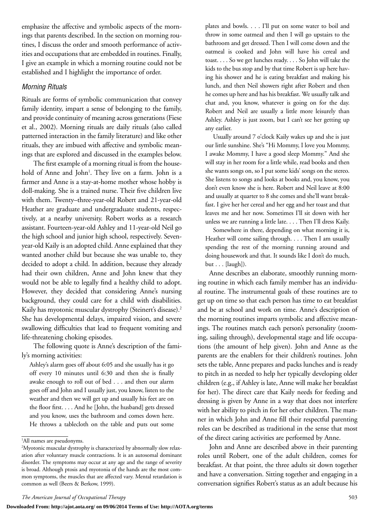emphasize the affective and symbolic aspects of the mornings that parents described. In the section on morning routines, I discuss the order and smooth performance of activities and occupations that are embedded in routines. Finally, I give an example in which a morning routine could not be established and I highlight the importance of order.

#### *Morning Rituals*

Rituals are forms of symbolic communication that convey family identity, impart a sense of belonging to the family, and provide continuity of meaning across generations (Fiese et al., 2002). Morning rituals are daily rituals (also called patterned interaction in the family literature) and like other rituals, they are imbued with affective and symbolic meanings that are explored and discussed in the examples below.

The first example of a morning ritual is from the household of Anne and John<sup>1</sup>. They live on a farm. John is a farmer and Anne is a stay-at-home mother whose hobby is doll-making. She is a trained nurse. Their five children live with them. Twenty–three-year-old Robert and 21-year-old Heather are graduate and undergraduate students, respectively, at a nearby university. Robert works as a research assistant. Fourteen-year-old Ashley and 11-year-old Neil go the high school and junior high school, respectively. Sevenyear-old Kaily is an adopted child. Anne explained that they wanted another child but because she was unable to, they decided to adopt a child. In addition, because they already had their own children, Anne and John knew that they would not be able to legally find a healthy child to adopt. However, they decided that considering Anne's nursing background, they could care for a child with disabilities. Kaily has myotonic muscular dystrophy (Steinert's disease).<sup>2</sup> She has developmental delays, impaired vision, and severe swallowing difficulties that lead to frequent vomiting and life-threatening choking episodes.

The following quote is Anne's description of the family's morning activities:

Ashley's alarm goes off about 6:05 and she usually has it go off every 10 minutes until 6:30 and then she is finally awake enough to roll out of bed . . . and then our alarm goes off and John and I usually just, you know, listen to the weather and then we will get up and usually his feet are on the floor first. . . . And he [John, the husband] gets dressed and you know, uses the bathroom and comes down here. He throws a tablecloth on the table and puts out some plates and bowls. . . . I'll put on some water to boil and throw in some oatmeal and then I will go upstairs to the bathroom and get dressed. Then I will come down and the oatmeal is cooked and John will have his cereal and toast. . . . So we get lunches ready. . . . So John will take the kids to the bus stop and by that time Robert is up here having his shower and he is eating breakfast and making his lunch, and then Neil showers right after Robert and then he comes up here and has his breakfast. We usually talk and chat and, you know, whatever is going on for the day. Robert and Neil are usually a little more leisurely than Ashley. Ashley is just zoom, but I can't see her getting up any earlier.

Usually around 7 o'clock Kaily wakes up and she is just our little sunshine. She's "Hi Mommy, I love you Mommy, I awake Mommy, I have a good sleep Mommy." And she will stay in her room for a little while, read books and then she wants songs on, so I put some kids' songs on the stereo. She listens to songs and looks at books and, you know, you don't even know she is here. Robert and Neil leave at 8:00 and usually at quarter to 8 she comes and she'll want breakfast. I give her her cereal and her egg and her toast and that leaves me and her now. Sometimes I'll sit down with her unless we are running a little late. . . . Then I'll dress Kaily.

Somewhere in there, depending on what morning it is, Heather will come sailing through. . . . Then I am usually spending the rest of the morning running around and doing housework and that. It sounds like I don't do much, but . . . [laugh]).

Anne describes an elaborate, smoothly running morning routine in which each family member has an individual routine. The instrumental goals of these routines are to get up on time so that each person has time to eat breakfast and be at school and work on time. Anne's description of the morning routines imparts symbolic and affective meanings. The routines match each person's personality (zooming, sailing through), developmental stage and life occupations (the amount of help given). John and Anne as the parents are the enablers for their children's routines. John sets the table, Anne prepares and packs lunches and is ready to pitch in as needed to help her typically developing older children (e.g., if Ashley is late, Anne will make her breakfast for her). The direct care that Kaily needs for feeding and dressing is given by Anne in a way that does not interfere with her ability to pitch in for her other children. The manner in which John and Anne fill their respectful parenting roles can be described as traditional in the sense that most of the direct caring activities are performed by Anne.

John and Anne are described above in their parenting roles until Robert, one of the adult children, comes for breakfast. At that point, the three adults sit down together and have a conversation. Sitting together and engaging in a conversation signifies Robert's status as an adult because his

<sup>1</sup> All names are pseudonyms.

<sup>2</sup> Myotonic muscular dystrophy is characterized by abnormally slow relaxation after voluntary muscle contractions. It is an autosomal dominant disorder. The symptoms may occur at any age and the range of severity is broad. Although ptosis and myotonia of the hands are the most common symptoms, the muscles that are affected vary. Mental retardation is common as well (Beers & Berkow, 1999).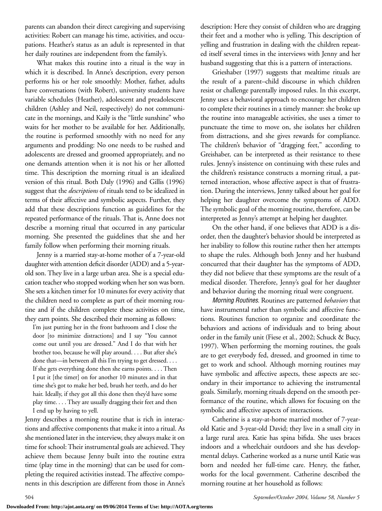parents can abandon their direct caregiving and supervising activities: Robert can manage his time, activities, and occupations. Heather's status as an adult is represented in that her daily routines are independent from the family's.

What makes this routine into a ritual is the way in which it is described. In Anne's description, every person performs his or her role smoothly: Mother, father, adults have conversations (with Robert), university students have variable schedules (Heather), adolescent and preadolescent children (Ashley and Neil, respectively) do not communicate in the mornings, and Kaily is the "little sunshine" who waits for her mother to be available for her. Additionally, the routine is performed smoothly with no need for any arguments and prodding: No one needs to be rushed and adolescents are dressed and groomed appropriately, and no one demands attention when it is not his or her allotted time. This description the morning ritual is an idealized version of this ritual. Both Daly (1996) and Gillis (1996) suggest that the *descriptions* of rituals tend to be idealized in terms of their affective and symbolic aspects. Further, they add that these descriptions function as guidelines for the repeated performance of the rituals. That is, Anne does not describe a morning ritual that occurred in any particular morning. She presented the guidelines that she and her family follow when performing their morning rituals.

Jenny is a married stay-at-home mother of a 7-year-old daughter with attention deficit disorder (ADD) and a 5-yearold son. They live in a large urban area. She is a special education teacher who stopped working when her son was born. She sets a kitchen timer for 10 minutes for every activity that the children need to complete as part of their morning routine and if the children complete these activities on time, they earn points. She described their morning as follows:

I'm just putting her in the front bathroom and I close the door [to minimize distractions] and I say "You cannot come out until you are dressed." And I do that with her brother too, because he will play around. . . . But after she's done that—in between all this I'm trying to get dressed. . . . If she gets everything done then she earns points. . . . Then I put it [the timer] on for another 10 minutes and in that time she's got to make her bed, brush her teeth, and do her hair. Ideally, if they got all this done then they'd have some play time. . . . They are usually dragging their feet and then I end up by having to yell.

Jenny describes a morning routine that is rich in interactions and affective components that make it into a ritual. As she mentioned later in the interview, they always make it on time for school: Their instrumental goals are achieved. They achieve them because Jenny built into the routine extra time (play time in the morning) that can be used for completing the required activities instead. The affective components in this description are different from those in Anne's

description: Here they consist of children who are dragging their feet and a mother who is yelling. This description of yelling and frustration in dealing with the children repeated itself several times in the interviews with Jenny and her husband suggesting that this is a pattern of interactions.

Grieshaber (1997) suggests that mealtime rituals are the result of a parent–child discourse in which children resist or challenge parentally imposed rules. In this excerpt, Jenny uses a behavioral approach to encourage her children to complete their routines in a timely manner: she broke up the routine into manageable activities, she uses a timer to punctuate the time to move on, she isolates her children from distractions, and she gives rewards for compliance. The children's behavior of "dragging feet," according to Greishaber, can be interpreted as their resistance to these rules. Jenny's insistence on continuing with these rules and the children's resistance constructs a morning ritual, a patterned interaction, whose affective aspect is that of frustration. During the interviews, Jenny talked about her goal for helping her daughter overcome the symptoms of ADD. The symbolic goal of the morning routine, therefore, can be interpreted as Jenny's attempt at helping her daughter.

On the other hand, if one believes that ADD is a disorder, then the daughter's behavior should be interpreted as her inability to follow this routine rather then her attempts to shape the rules. Although both Jenny and her husband concurred that their daughter has the symptoms of ADD, they did not believe that these symptoms are the result of a medical disorder. Therefore, Jenny's goal for her daughter and behavior during the morning ritual were congruent.

*Morning Routines.* Routines are patterned *behaviors* that have instrumental rather than symbolic and affective functions. Routines function to organize and coordinate the behaviors and actions of individuals and to bring about order in the family unit (Fiese et al., 2002; Schuck & Bucy, 1997). When performing the morning routines, the goals are to get everybody fed, dressed, and groomed in time to get to work and school. Although morning routines may have symbolic and affective aspects, these aspects are secondary in their importance to achieving the instrumental goals. Similarly, morning rituals depend on the smooth performance of the routine, which allows for focusing on the symbolic and affective aspects of interactions.

Catherine is a stay-at-home married mother of 7-yearold Katie and 3-year-old David; they live in a small city in a large rural area. Katie has spina bifida. She uses braces indoors and a wheelchair outdoors and she has developmental delays. Catherine worked as a nurse until Katie was born and needed her full-time care. Henry, the father, works for the local government. Catherine described the morning routine at her household as follows: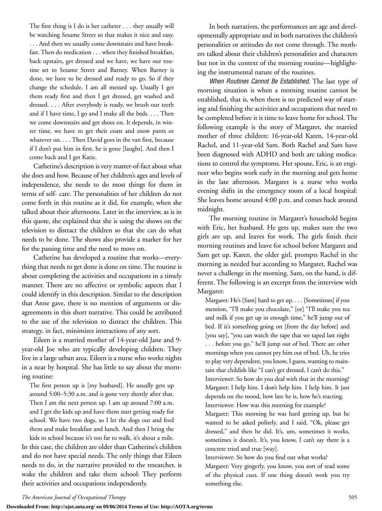The first thing is I do is her catheter . . . they usually will be watching Sesame Street so that makes it nice and easy. ... And then we usually come downstairs and have breakfast. Then do medication . . . when they finished breakfast, back upstairs, get dressed and we have, we have our routine set to Sesame Street and Barney. When Barney is done, we have to be dressed and ready to go. So if they change the schedule, I am all messed up. Usually I get them ready first and then I get dressed, get washed and dressed. . . . After everybody is ready, we brush our teeth and if I have time, I go and I make all the beds. . . . Then we come downstairs and get shoes on. It depends, in winter time, we have to get their coats and snow pants or whatever on. . . . Then David goes in the van first, because if I don't put him in first, he is gone [laughs]. And then I come back and I get Katie.

Catherine's description is very matter-of-fact about what she does and how. Because of her children's ages and levels of independence, she needs to do most things for them in terms of self- care. The personalities of her children do not come forth in this routine as it did, for example, when she talked about their afternoons. Later in the interview, as is in this quote, she explained that she is using the shows on the television to distract the children so that she can do what needs to be done. The shows also provide a marker for her for the passing time and the need to move on.

Catherine has developed a routine that works—everything that needs to get done is done on time. The routine is about completing the activities and occupations in a timely manner. There are no affective or symbolic aspects that I could identify in this description. Similar to the description that Anne gave, there is no mention of arguments or disagreements in this short narrative. This could be attributed to the use of the television to distract the children. This strategy, in fact, minimizes interactions of any sort.

Eileen is a married mother of 14-year-old Jane and 9 year-old Joe who are typically developing children. They live in a large urban area. Eileen is a nurse who works nights in a near by hospital. She has little to say about the morning routine:

The first person up is [my husband]. He usually gets up around 5:00–5:30 a.m. and is gone very shortly after that. Then I am the next person up. I am up around 7:00 a.m. and I get the kids up and have them start getting ready for school. We have two dogs, so I let the dogs out and feed them and make breakfast and lunch. And then I bring the

kids to school because it's too far to walk, it's about a mile. In this case, the children are older than Catherine's children and do not have special needs. The only things that Eileen needs to do, in the narrative provided to the researcher, is wake the children and take them school: They perform their activities and occupations independently.

In both narratives, the performances are age and developmentally appropriate and in both narratives the children's personalities or attitudes do not come through. The mothers talked about their children's personalities and characters but not in the context of the morning routine—highlighting the instrumental nature of the routines.

*When Routines Cannot Be Established.* The last type of morning situation is when a morning routine cannot be established, that is, when there is no predicted way of starting and finishing the activities and occupations that need to be completed before it is time to leave home for school. The following example is the story of Margaret, the married mother of three children: 16-year-old Karen, 14-year-old Rachel, and 11-year-old Sam. Both Rachel and Sam have been diagnosed with ADHD and both are taking medications to control the symptoms. Her spouse, Eric, is an engineer who begins work early in the morning and gets home in the late afternoon. Margaret is a nurse who works evening shifts in the emergency room of a local hospital: She leaves home around 4:00 p.m. and comes back around midnight.

The morning routine in Margaret's household begins with Eric, her husband. He gets up, makes sure the two girls are up, and leaves for work. The girls finish their morning routines and leave for school before Margaret and Sam get up. Karen, the older girl, prompts Rachel in the morning as needed but according to Margaret, Rachel was never a challenge in the morning. Sam, on the hand, is different. The following is an excerpt from the interview with Margaret:

Margaret: He's [Sam] hard to get up. . . . [Sometimes] if you mention, "I'll make you chocolate," [or] "I'll make you tea and milk if you get up in enough time," he'll jump out of bed. If it's something going on [from the day before] and [you say], "you can watch the tape that we taped last night . . . before you go," he'll jump out of bed. There are other mornings when you cannot pry him out of bed. Uh, he tries to play very dependent, you know, I guess, wanting to maintain that childish like "I can't get dressed, I can't do this." Interviewer: So how do you deal with that in the morning? Margaret: I help him. I don't help him. I help him. It just depends on the mood, how late he is, how he's reacting. Interviewer: How was this morning for example?

Margaret: This morning he was hard getting up, but he wanted to be asked politely, and I said, "Ok, please get dressed," and then he did. It's, um, sometimes it works, sometimes it doesn't. It's, you know, I can't say there is a concrete tried and true [way].

Interviewer: So how do you find out what works? Margaret: Very gingerly, you know, you sort of read some of the physical cues. If one thing doesn't work you try something else.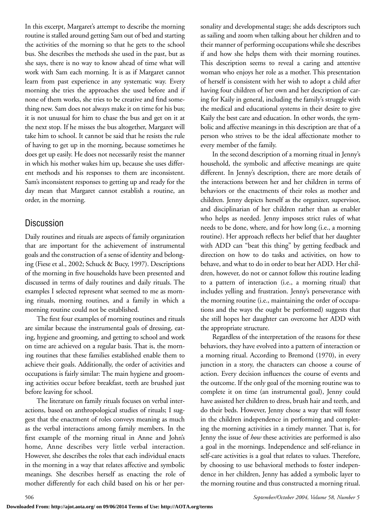In this excerpt, Margaret's attempt to describe the morning routine is stalled around getting Sam out of bed and starting the activities of the morning so that he gets to the school bus. She describes the methods she used in the past, but as she says, there is no way to know ahead of time what will work with Sam each morning. It is as if Margaret cannot learn from past experience in any systematic way. Every morning she tries the approaches she used before and if none of them works, she tries to be creative and find something new. Sam does not always make it on time for his bus; it is not unusual for him to chase the bus and get on it at the next stop. If he misses the bus altogether, Margaret will take him to school. It cannot be said that he resists the rule of having to get up in the morning, because sometimes he does get up easily. He does not necessarily resist the manner in which his mother wakes him up, because she uses different methods and his responses to them are inconsistent. Sam's inconsistent responses to getting up and ready for the day mean that Margaret cannot establish a routine, an order, in the morning.

## Discussion

Daily routines and rituals are aspects of family organization that are important for the achievement of instrumental goals and the construction of a sense of identity and belonging (Fiese et al., 2002; Schuck & Bucy, 1997). Descriptions of the morning in five households have been presented and discussed in terms of daily routines and daily rituals. The examples I selected represent what seemed to me as morning rituals, morning routines, and a family in which a morning routine could not be established.

The first four examples of morning routines and rituals are similar because the instrumental goals of dressing, eating, hygiene and grooming, and getting to school and work on time are achieved on a regular basis. That is, the morning routines that these families established enable them to achieve their goals. Additionally, the order of activities and occupations is fairly similar: The main hygiene and grooming activities occur before breakfast, teeth are brushed just before leaving for school.

The literature on family rituals focuses on verbal interactions, based on anthropological studies of rituals; I suggest that the enactment of roles conveys meaning as much as the verbal interactions among family members. In the first example of the morning ritual in Anne and John's home, Anne describes very little verbal interaction. However, she describes the roles that each individual enacts in the morning in a way that relates affective and symbolic meanings. She describes herself as enacting the role of mother differently for each child based on his or her personality and developmental stage; she adds descriptors such as sailing and zoom when talking about her children and to their manner of performing occupations while she describes if and how she helps them with their morning routines. This description seems to reveal a caring and attentive woman who enjoys her role as a mother. This presentation of herself is consistent with her wish to adopt a child after having four children of her own and her description of caring for Kaily in general, including the family's struggle with the medical and educational systems in their desire to give Kaily the best care and education. In other words, the symbolic and affective meanings in this description are that of a person who strives to be the ideal affectionate mother to every member of the family.

In the second description of a morning ritual in Jenny's household, the symbolic and affective meanings are quite different. In Jenny's description, there are more details of the interactions between her and her children in terms of behaviors or the enactments of their roles as mother and children. Jenny depicts herself as the organizer, supervisor, and disciplinarian of her children rather than as enabler who helps as needed. Jenny imposes strict rules of what needs to be done, where, and for how long (i.e., a morning routine). Her approach reflects her belief that her daughter with ADD can "beat this thing" by getting feedback and direction on how to do tasks and activities, on how to behave, and what to do in order to beat her ADD. Her children, however, do not or cannot follow this routine leading to a pattern of interaction (i.e., a morning ritual) that includes yelling and frustration. Jenny's perseverance with the morning routine (i.e., maintaining the order of occupations and the ways the ought be performed) suggests that she still hopes her daughter can overcome her ADD with the appropriate structure.

Regardless of the interpretation of the reasons for these behaviors, they have evolved into a pattern of interaction or a morning ritual. According to Bremond (1970), in every junction in a story, the characters can choose a course of action. Every decision influences the course of events and the outcome. If the only goal of the morning routine was to complete it on time (an instrumental goal), Jenny could have assisted her children to dress, brush hair and teeth, and do their beds. However, Jenny chose a way that will foster in the children independence in performing and completing the morning activities in a timely manner. That is, for Jenny the issue of *how* these activities are performed is also a goal in the mornings. Independence and self-reliance in self-care activities is a goal that relates to values. Therefore, by choosing to use behavioral methods to foster independence in her children, Jenny has added a symbolic layer to the morning routine and thus constructed a morning ritual.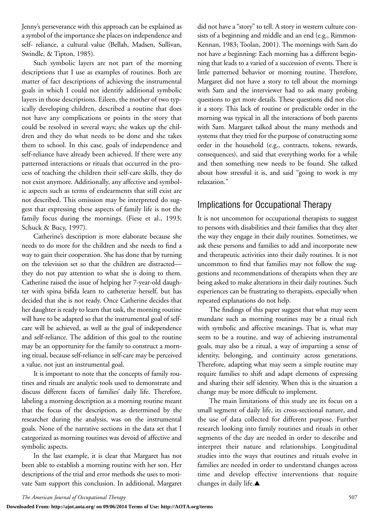Jenny's perseverance with this approach can be explained as a symbol of the importance she places on independence and self- reliance, a cultural value (Bellah, Madsen, Sullivan, Swindle, & Tipton, 1985).

Such symbolic layers are not part of the morning descriptions that I use as examples of routines. Both are matter of fact descriptions of achieving the instrumental goals in which I could not identify additional symbolic layers in those descriptions. Eileen, the mother of two typically developing children, described a routine that does not have any complications or points in the story that could be resolved in several ways; she wakes up the children and they do what needs to be done and she takes them to school. In this case, goals of independence and self-reliance have already been achieved. If there were any patterned interactions or rituals that occurred in the process of teaching the children their self-care skills, they do not exist anymore. Additionally, any affective and symbolic aspects such as terms of endearments that still exist are not described. This omission may be interpreted do suggest that expressing these aspects of family life is not the family focus during the mornings. (Fiese et al., 1993; Schuck & Bucy, 1997).

Catherine's description is more elaborate because she needs to do more for the children and she needs to find a way to gain their cooperation. She has done that by turning on the television set so that the children are distracted they do not pay attention to what she is doing to them. Catherine raised the issue of helping her 7-year-old daughter with spina bifida learn to catheterize herself, but has decided that she is not ready. Once Catherine decides that her daughter is ready to learn that task, the morning routine will have to be adapted so that the instrumental goal of selfcare will be achieved, as well as the goal of independence and self-reliance. The addition of this goal to the routine may be an opportunity for the family to construct a morning ritual, because self-reliance in self-care may be perceived a value, not just an instrumental goal.

It is important to note that the concepts of family routines and rituals are analytic tools used to demonstrate and discuss different facets of families' daily life. Therefore, labeling a morning description as a morning routine meant that the focus of the description, as determined by the researcher during the analysis, was on the instrumental goals. None of the narrative sections in the data set that I categorized as morning routines was devoid of affective and symbolic aspects.

In the last example, it is clear that Margaret has not been able to establish a morning routine with her son. Her descriptions of the trial and error methods she uses to motivate Sam support this conclusion. In additional, Margaret

did not have a "story" to tell. A story in western culture consists of a beginning and middle and an end (e.g., Rimmon-Kennan, 1983; Toolan, 2001). The mornings with Sam do not have *a* beginning: Each morning has a different beginning that leads to a varied of a succession of events. There is little patterned behavior or morning routine. Therefore, Margaret did not have a story to tell about the mornings with Sam and the interviewer had to ask many probing questions to get more details. These questions did not elicit a story. This lack of routine or predictable order in the morning was typical in all the interactions of both parents with Sam. Margaret talked about the many methods and systems that they tried for the purpose of constructing some order in the household (e.g., contracts, tokens, rewards, consequences), and said that everything works for a while and then something new needs to be found. She talked about how stressful it is, and said "going to work is my relaxation."

## Implications for Occupational Therapy

It is not uncommon for occupational therapists to suggest to persons with disabilities and their families that they alter the way they engage in their daily routines. Sometimes, we ask these persons and families to add and incorporate new and therapeutic activities into their daily routines. It is not uncommon to find that families may not follow the suggestions and recommendations of therapists when they are being asked to make alterations in their daily routines. Such experiences can be frustrating to therapists, especially when repeated explanations do not help.

The findings of this paper suggest that what may seem mundane such as morning routines may be a ritual rich with symbolic and affective meanings. That is, what may seem to be a routine, and way of achieving instrumental goals, may also be a ritual, a way of imparting a sense of identity, belonging, and continuity across generations. Therefore, adapting what may seem a simple routine may require families to shift and adapt elements of expressing and sharing their self identity. When this is the situation a change may be more difficult to implement.

The main limitations of this study are its focus on a small segment of daily life, its cross-sectional nature, and the use of data collected for different purpose. Further research looking into family routines and rituals in other segments of the day are needed in order to describe and interpret their nature and relationships. Longitudinal studies into the ways that routines and rituals evolve in families are needed in order to understand changes across time and develop effective interventions that require changes in daily life.▲